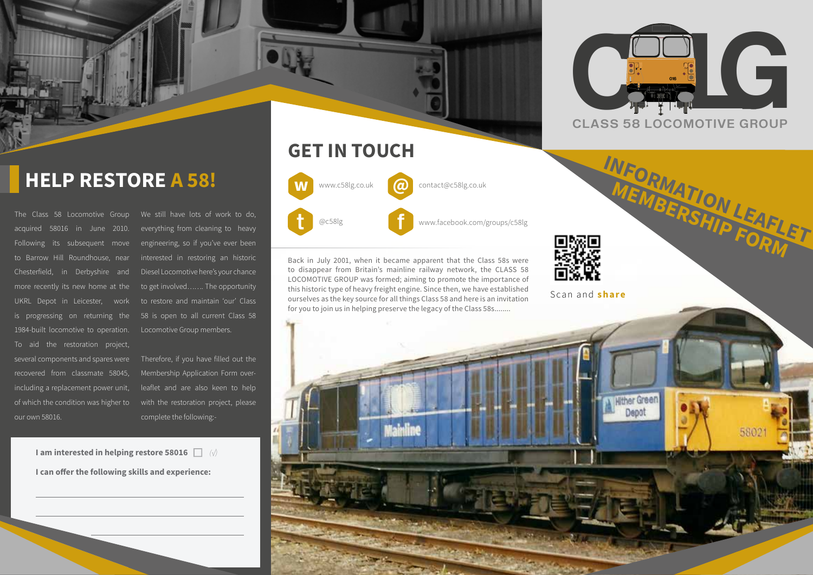

**MEMBERSHIP LEAFL** 

5802

The Class 58 Locomotive Group acquired 58016 in June 2010. Following its subsequent move to Barrow Hill Roundhouse, near Chesterfield, in Derbyshire and more recently its new home at the UKRL Depot in Leicester, work is progressing on returning the 1984-built locomotive to operation. To aid the restoration project, several components and spares were recovered from classmate 58045, including a replacement power unit, of which the condition was higher to our own 58016.

We still have lots of work to do everything from cleaning to heavy engineering, so if you've ever been interested in restoring an historic Diesel Locomotive here's your chance to get involved……. The opportunity to restore and maintain 'our' Class 58 is open to all current Class 58 Locomotive Group members.

Therefore, if you have filled out the Membership Application Form overleaflet and are also keen to help with the restoration project, please complete the following:-

**I am interested in helping restore 58016** *(√)* **I can offer the following skills and experience:**

### **GET IN TOUCH**



Back in July 2001, when it became apparent that the Class 58s were to disappear from Britain's mainline railway network, the CLASS 58 LOCOMOTIVE GROUP was formed; aiming to promote the importance of this historic type of heavy freight engine. Since then, we have established ourselves as the key source for all things Class 58 and here is an invitation for you to join us in helping preserve the legacy of the Class 58s........



Scan and **share**

**Hither Green** Depa